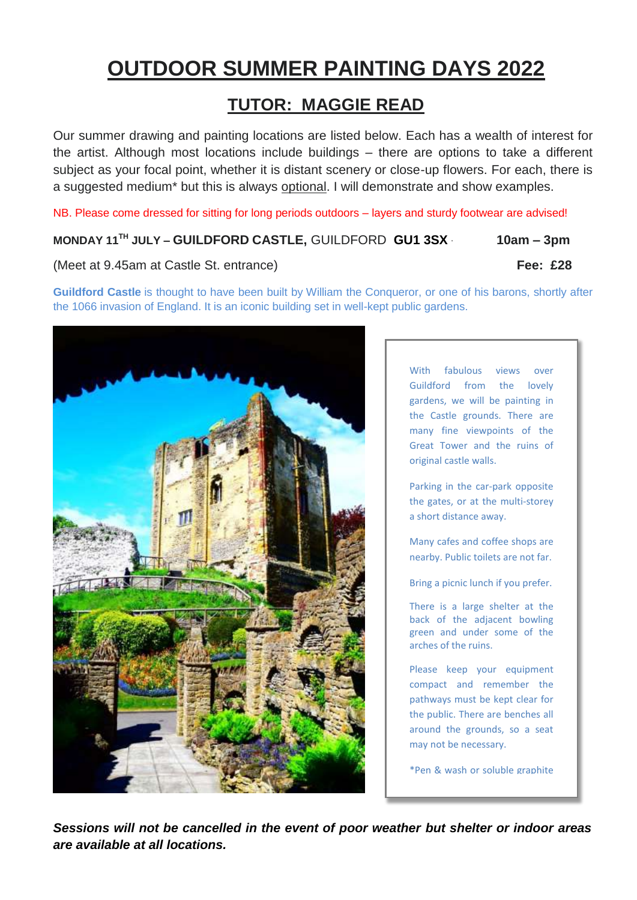# **OUTDOOR SUMMER PAINTING DAYS 2022**

## **TUTOR: MAGGIE READ**

Our summer drawing and painting locations are listed below. Each has a wealth of interest for the artist. Although most locations include buildings – there are options to take a different subject as your focal point, whether it is distant scenery or close-up flowers. For each, there is a suggested medium\* but this is always optional. I will demonstrate and show examples.

NB. Please come dressed for sitting for long periods outdoors – layers and sturdy footwear are advised!

**MONDAY 11TH JULY – GUILDFORD CASTLE,** GUILDFORD **GU1 3SX** · **10am – 3pm** 

(Meet at 9.45am at Castle St. entrance) **Fee: £28**

**Guildford Castle** is thought to have been built by [William the Conqueror,](https://en.wikipedia.org/wiki/William_the_Conqueror) or one of his barons, shortly after the [1066 invasion](https://en.wikipedia.org/wiki/Norman_Conquest) of [England.](https://en.wikipedia.org/wiki/England) It is an iconic building set in well-kept public gardens.



With fabulous views over Guildford from the lovely gardens, we will be painting in the Castle grounds. There are many fine viewpoints of the Great Tower and the ruins of original castle walls.

Parking in the car-park opposite the gates, or at the multi-storey a short distance away.

Many cafes and coffee shops are nearby. Public toilets are not far.

Bring a picnic lunch if you prefer.

There is a large shelter at the back of the adjacent bowling green and under some of the arches of the ruins.

Please keep your equipment compact and remember the pathways must be kept clear for the public. There are benches all around the grounds, so a seat may not be necessary.

\*Pen & wash or soluble graphite

*Sessions will not be cancelled in the event of poor weather but shelter or indoor areas are available at all locations.*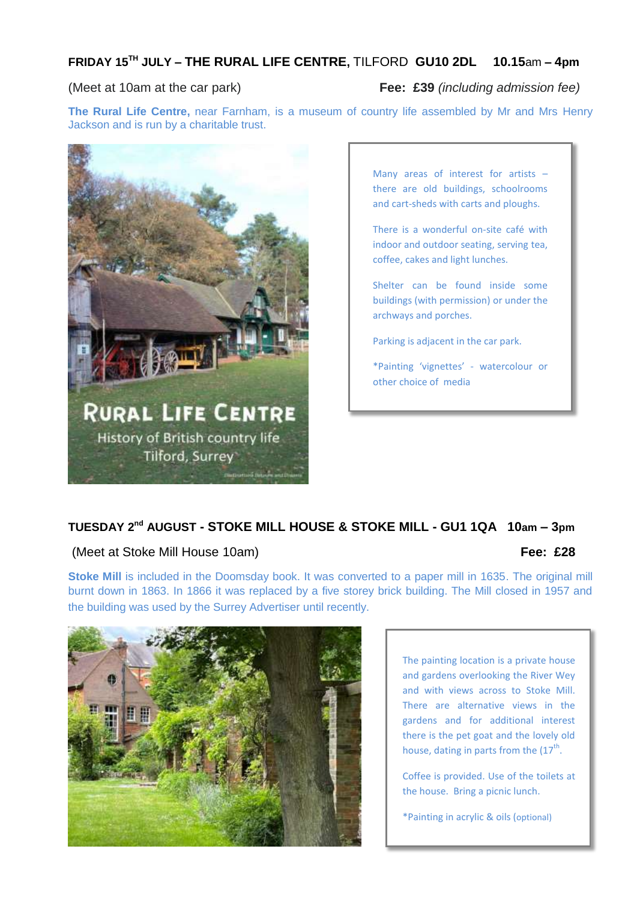### **FRIDAY 15 TH JULY – THE RURAL LIFE CENTRE,** TILFORD **GU10 2DL 10.15**am **– 4pm**

#### (Meet at 10am at the car park) **Fee: £39** *(including admission fee)*

**The Rural Life Centre,** near Farnham, is a museum of country life assembled by Mr and Mrs Henry Jackson and is run by a charitable trust.



Many areas of interest for artists – there are old buildings, schoolrooms and cart-sheds with carts and ploughs.

There is a wonderful on-site café with indoor and outdoor seating, serving tea, coffee, cakes and light lunches.

Shelter can be found inside some buildings (with permission) or under the archways and porches.

Parking is adjacent in the car park.

\*Painting 'vignettes' - watercolour or other choice of media

### **TUESDAY 2 nd AUGUST - STOKE MILL HOUSE & STOKE MILL - GU1 1QA 10am – 3pm**

#### (Meet at Stoke Mill House 10am) **Fee: £28**

**Stoke Mill** is included in the Doomsday book. It was converted to a paper mill in 1635. The original mill burnt down in 1863. In 1866 it was replaced by a five storey brick building. The Mill closed in 1957 and the building was used by the Surrey Advertiser until recently.



The painting location is a private house and gardens overlooking the River Wey and with views across to Stoke Mill. There are alternative views in the gardens and for additional interest there is the pet goat and the lovely old house, dating in parts from the  $(17<sup>th</sup>$ .

Coffee is provided. Use of the toilets at the house. Bring a picnic lunch.

\*Painting in acrylic & oils (optional)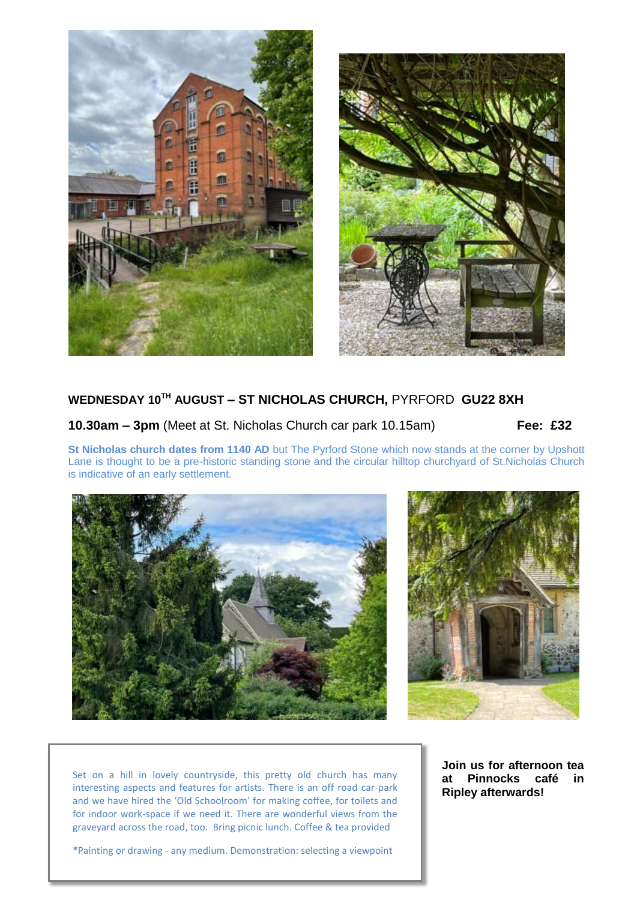



#### **WEDNESDAY 10 TH AUGUST – ST NICHOLAS CHURCH,** PYRFORD **GU22 8XH**

**10.30am – 3pm** (Meet at St. Nicholas Church car park 10.15am) **Fee: £32**

**St Nicholas church dates from 1140 AD** but The Pyrford Stone which now stands at the corner by Upshott Lane is thought to be a pre-historic standing stone and the circular hilltop churchyard of St.Nicholas Church is indicative of an early settlement.

![](_page_2_Picture_6.jpeg)

![](_page_2_Picture_7.jpeg)

Set on a hill in lovely countryside, this pretty old church has many interesting aspects and features for artists. There is an off road car-park and we have hired the 'Old Schoolroom' for making coffee, for toilets and for indoor work-space if we need it. There are wonderful views from the graveyard across the road, too. Bring picnic lunch. Coffee & tea provided

**Join us for afternoon tea at Pinnocks café in Ripley afterwards!**

\*Painting or drawing - any medium. Demonstration: selecting a viewpoint